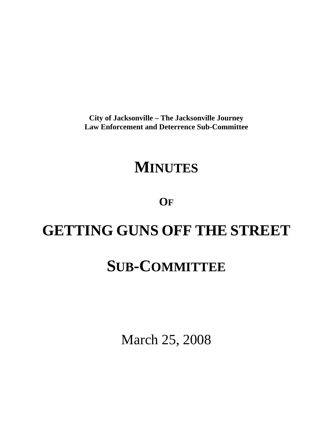**City of Jacksonville – The Jacksonville Journey Law Enforcement and Deterrence Sub-Committee** 

# **MINUTES**

**OF**

# **GETTING GUNS OFF THE STREET**

# **SUB-COMMITTEE**

March 25, 2008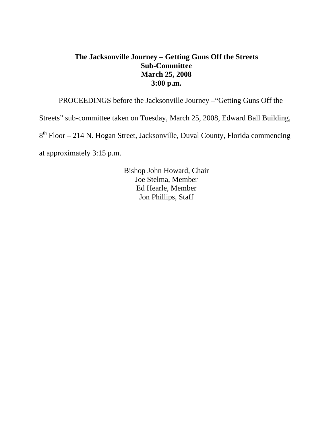## **The Jacksonville Journey – Getting Guns Off the Streets Sub-Committee March 25, 2008 3:00 p.m.**

PROCEEDINGS before the Jacksonville Journey –"Getting Guns Off the

Streets" sub-committee taken on Tuesday, March 25, 2008, Edward Ball Building,

8<sup>th</sup> Floor – 214 N. Hogan Street, Jacksonville, Duval County, Florida commencing

at approximately 3:15 p.m.

 Bishop John Howard, Chair Joe Stelma, Member Ed Hearle, Member Jon Phillips, Staff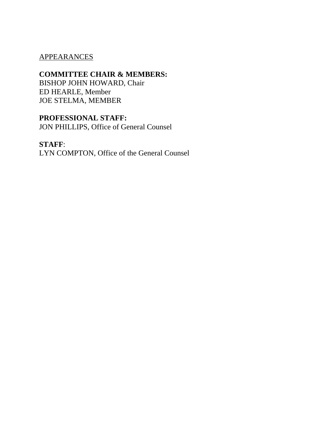### APPEARANCES

### **COMMITTEE CHAIR & MEMBERS:**

BISHOP JOHN HOWARD, Chair ED HEARLE, Member JOE STELMA, MEMBER

## **PROFESSIONAL STAFF:**

JON PHILLIPS, Office of General Counsel

### **STAFF**:

LYN COMPTON, Office of the General Counsel